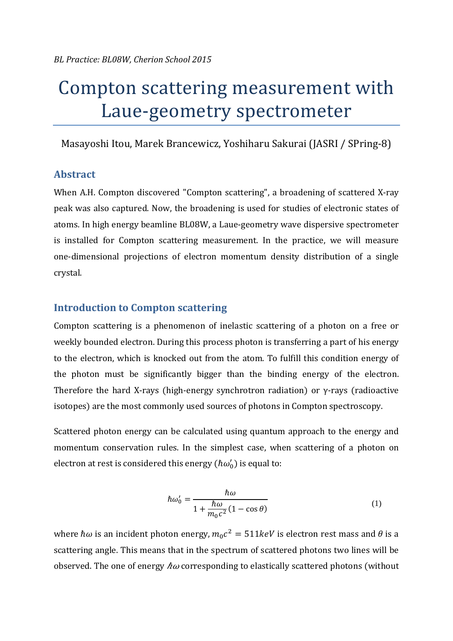# Compton scattering measurement with Laue-geometry spectrometer

Masayoshi Itou, Marek Brancewicz, Yoshiharu Sakurai (JASRI / SPring-8)

## **Abstract**

When A.H. Compton discovered "Compton scattering", a broadening of scattered X-rav peak was also captured. Now, the broadening is used for studies of electronic states of atoms. In high energy beamline BL08W, a Laue-geometry wave dispersive spectrometer is installed for Compton scattering measurement. In the practice, we will measure one-dimensional projections of electron momentum density distribution of a single crystal. 

## **Introduction to Compton scattering**

Compton scattering is a phenomenon of inelastic scattering of a photon on a free or weekly bounded electron. During this process photon is transferring a part of his energy to the electron, which is knocked out from the atom. To fulfill this condition energy of the photon must be significantly bigger than the binding energy of the electron. Therefore the hard X-rays (high-energy synchrotron radiation) or  $\gamma$ -rays (radioactive isotopes) are the most commonly used sources of photons in Compton spectroscopy.

Scattered photon energy can be calculated using quantum approach to the energy and momentum conservation rules. In the simplest case, when scattering of a photon on electron at rest is considered this energy  $(\hbar \omega_0')$  is equal to:

$$
\hbar\omega_0' = \frac{\hbar\omega}{1 + \frac{\hbar\omega}{m_0c^2}(1 - \cos\theta)}\tag{1}
$$

where  $\hbar\omega$  is an incident photon energy,  $m_0c^2 = 511 \text{keV}$  is electron rest mass and  $\theta$  is a scattering angle. This means that in the spectrum of scattered photons two lines will be observed. The one of energy  $\hbar\omega$  corresponding to elastically scattered photons (without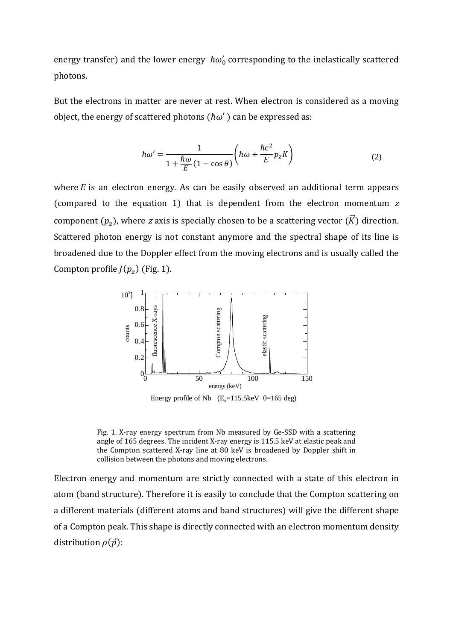energy transfer) and the lower energy  $\hbar \omega_0'$  corresponding to the inelastically scattered photons. 

But the electrons in matter are never at rest. When electron is considered as a moving object, the energy of scattered photons  $(\hbar \omega')$  can be expressed as:

$$
\hbar \omega' = \frac{1}{1 + \frac{\hbar \omega}{E} (1 - \cos \theta)} \left( \hbar \omega + \frac{\hbar c^2}{E} p_z K \right)
$$
 (2)

where  $E$  is an electron energy. As can be easily observed an additional term appears (compared to the equation 1) that is dependent from the electron momentum  $z$ component  $(p_z)$ , where z axis is specially chosen to be a scattering vector  $(\vec{K})$  direction. Scattered photon energy is not constant anymore and the spectral shape of its line is broadened due to the Doppler effect from the moving electrons and is usually called the Compton profile  $J(p_z)$  (Fig. 1).



Fig. 1. X-ray energy spectrum from Nb measured by Ge-SSD with a scattering angle of 165 degrees. The incident X-ray energy is 115.5 keV at elastic peak and the Compton scattered X-ray line at  $80 \text{ keV}$  is broadened by Doppler shift in collision between the photons and moving electrons.

Electron energy and momentum are strictly connected with a state of this electron in atom (band structure). Therefore it is easily to conclude that the Compton scattering on a different materials (different atoms and band structures) will give the different shape of a Compton peak. This shape is directly connected with an electron momentum density distribution  $\rho(\vec{p})$ :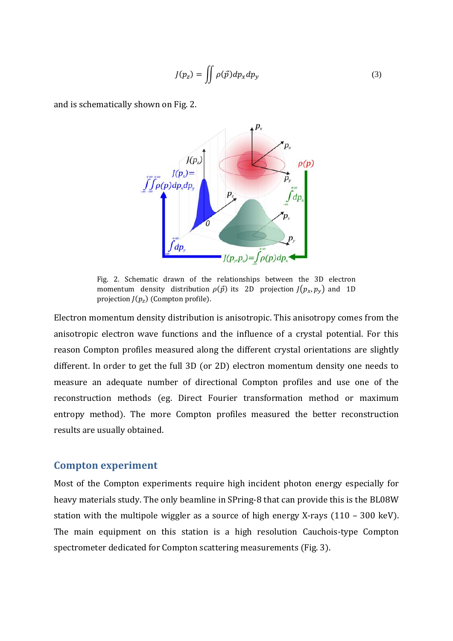$$
J(p_z) = \iint \rho(\vec{p}) dp_x dp_y \tag{3}
$$

and is schematically shown on Fig. 2.



Fig. 2. Schematic drawn of the relationships between the 3D electron momentum density distribution  $\rho(\vec{p})$  its 2D projection  $J(p_x, p_y)$  and 1D projection  $J(p_z)$  (Compton profile).

Electron momentum density distribution is anisotropic. This anisotropy comes from the anisotropic electron wave functions and the influence of a crystal potential. For this reason Compton profiles measured along the different crystal orientations are slightly different. In order to get the full 3D (or 2D) electron momentum density one needs to measure an adequate number of directional Compton profiles and use one of the reconstruction methods (eg. Direct Fourier transformation method or maximum entropy method). The more Compton profiles measured the better reconstruction results are usually obtained.

#### **Compton experiment**

Most of the Compton experiments require high incident photon energy especially for heavy materials study. The only beamline in SPring-8 that can provide this is the BL08W station with the multipole wiggler as a source of high energy X-rays  $(110 - 300 \text{ keV})$ . The main equipment on this station is a high resolution Cauchois-type Compton spectrometer dedicated for Compton scattering measurements (Fig. 3).